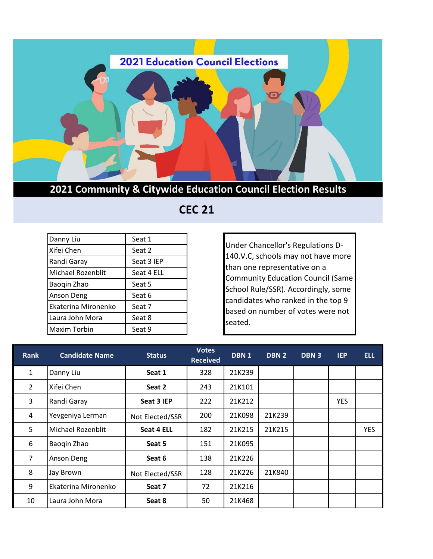

**2021 Community & Citywide Education Council Election Results**

 **CEC 21** 

| Danny Liu           | Seat 1     |
|---------------------|------------|
| Xifei Chen          | Seat 2     |
| Randi Garay         | Seat 3 IEP |
| Michael Rozenblit   | Seat 4 ELL |
| Baogin Zhao         | Seat 5     |
| Anson Deng          | Seat 6     |
| Ekaterina Mironenko | Seat 7     |
| Laura John Mora     | Seat 8     |
| <b>Maxim Torbin</b> | Seat 9     |

Under Chancellor's Regulations D-140.V.C, schools may not have more than one representative on a Community Education Council (Same School Rule/SSR). Accordingly, some candidates who ranked in the top 9 based on number of votes were not seated.

| <b>Rank</b>    | <b>Candidate Name</b>    | <b>Status</b>   | <b>Votes</b><br><b>Received</b> | DBN <sub>1</sub> | DBN 2  | DBN <sub>3</sub> | <b>IEP</b> | <b>ELL</b> |
|----------------|--------------------------|-----------------|---------------------------------|------------------|--------|------------------|------------|------------|
| $\mathbf{1}$   | Danny Liu                | Seat 1          | 328                             | 21K239           |        |                  |            |            |
| $\overline{2}$ | Xifei Chen               | Seat 2          | 243                             | 21K101           |        |                  |            |            |
| 3              | Randi Garay              | Seat 3 IEP      | 222                             | 21K212           |        |                  | <b>YES</b> |            |
| 4              | Yevgeniya Lerman         | Not Elected/SSR | 200                             | 21K098           | 21K239 |                  |            |            |
| 5              | <b>Michael Rozenblit</b> | Seat 4 ELL      | 182                             | 21K215           | 21K215 |                  |            | <b>YES</b> |
| 6              | Baogin Zhao              | Seat 5          | 151                             | 21K095           |        |                  |            |            |
| $\overline{7}$ | <b>Anson Deng</b>        | Seat 6          | 138                             | 21K226           |        |                  |            |            |
| 8              | Jay Brown                | Not Elected/SSR | 128                             | 21K226           | 21K840 |                  |            |            |
| 9              | Ekaterina Mironenko      | Seat 7          | 72                              | 21K216           |        |                  |            |            |
| 10             | Laura John Mora          | Seat 8          | 50                              | 21K468           |        |                  |            |            |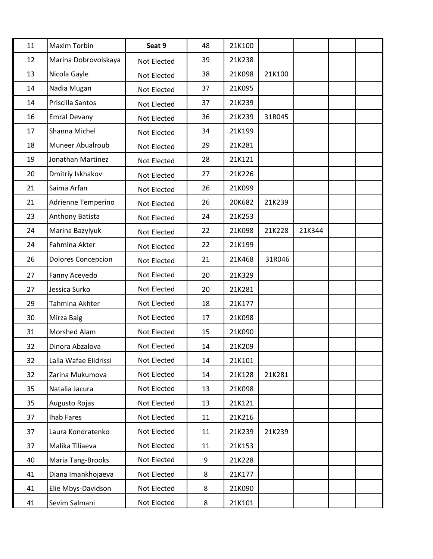| 11 | Maxim Torbin              | Seat 9      | 48 | 21K100 |        |        |  |
|----|---------------------------|-------------|----|--------|--------|--------|--|
| 12 | Marina Dobrovolskaya      | Not Elected | 39 | 21K238 |        |        |  |
| 13 | Nicola Gayle              | Not Elected | 38 | 21K098 | 21K100 |        |  |
| 14 | Nadia Mugan               | Not Elected | 37 | 21K095 |        |        |  |
| 14 | Priscilla Santos          | Not Elected | 37 | 21K239 |        |        |  |
| 16 | <b>Emral Devany</b>       | Not Elected | 36 | 21K239 | 31R045 |        |  |
| 17 | Shanna Michel             | Not Elected | 34 | 21K199 |        |        |  |
| 18 | Muneer Abualroub          | Not Elected | 29 | 21K281 |        |        |  |
| 19 | Jonathan Martinez         | Not Elected | 28 | 21K121 |        |        |  |
| 20 | Dmitriy Iskhakov          | Not Elected | 27 | 21K226 |        |        |  |
| 21 | Saima Arfan               | Not Elected | 26 | 21K099 |        |        |  |
| 21 | Adrienne Temperino        | Not Elected | 26 | 20K682 | 21K239 |        |  |
| 23 | Anthony Batista           | Not Elected | 24 | 21K253 |        |        |  |
| 24 | Marina Bazylyuk           | Not Elected | 22 | 21K098 | 21K228 | 21K344 |  |
| 24 | Fahmina Akter             | Not Elected | 22 | 21K199 |        |        |  |
| 26 | <b>Dolores Concepcion</b> | Not Elected | 21 | 21K468 | 31R046 |        |  |
| 27 | Fanny Acevedo             | Not Elected | 20 | 21K329 |        |        |  |
| 27 | Jessica Surko             | Not Elected | 20 | 21K281 |        |        |  |
| 29 | Tahmina Akhter            | Not Elected | 18 | 21K177 |        |        |  |
| 30 | Mirza Baig                | Not Elected | 17 | 21K098 |        |        |  |
| 31 | Morshed Alam              | Not Elected | 15 | 21K090 |        |        |  |
| 32 | Dinora Abzalova           | Not Elected | 14 | 21K209 |        |        |  |
| 32 | Lalla Wafae Elidrissi     | Not Elected | 14 | 21K101 |        |        |  |
| 32 | Zarina Mukumova           | Not Elected | 14 | 21K128 | 21K281 |        |  |
| 35 | Natalia Jacura            | Not Elected | 13 | 21K098 |        |        |  |
| 35 | Augusto Rojas             | Not Elected | 13 | 21K121 |        |        |  |
| 37 | Ihab Fares                | Not Elected | 11 | 21K216 |        |        |  |
| 37 | Laura Kondratenko         | Not Elected | 11 | 21K239 | 21K239 |        |  |
| 37 | Malika Tiliaeva           | Not Elected | 11 | 21K153 |        |        |  |
| 40 | Maria Tang-Brooks         | Not Elected | 9  | 21K228 |        |        |  |
| 41 | Diana Imankhojaeva        | Not Elected | 8  | 21K177 |        |        |  |
| 41 | Elie Mbys-Davidson        | Not Elected | 8  | 21K090 |        |        |  |
| 41 | Sevim Salmani             | Not Elected | 8  | 21K101 |        |        |  |